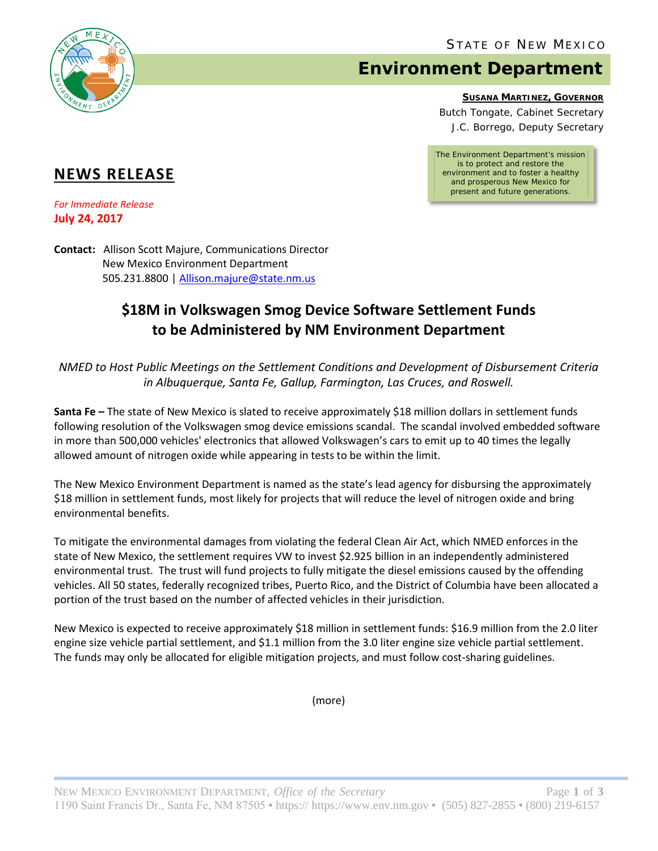

# **Environment Department**

**SUSANA MARTINEZ, GOVERNOR**

Butch Tongate, Cabinet Secretary J.C. Borrego, Deputy Secretary

*The Environment Department's mission is to protect and restore the environment and to foster a healthy and prosperous New Mexico for present and future generations.*

## **NEWS RELEASE**

*For Immediate Release* **July 24, 2017**

**Contact:** Allison Scott Majure, Communications Director New Mexico Environment Department 505.231.8800 [| Allison.majure@state.nm.us](mailto:Allison.majure@state.nm.us)

## **\$18M in Volkswagen Smog Device Software Settlement Funds to be Administered by NM Environment Department**

*NMED to Host Public Meetings on the Settlement Conditions and Development of Disbursement Criteria in Albuquerque, Santa Fe, Gallup, Farmington, Las Cruces, and Roswell.*

**Santa Fe –** The state of New Mexico is slated to receive approximately \$18 million dollars in settlement funds following resolution of the Volkswagen smog device emissions scandal. The scandal involved embedded software in more than 500,000 vehicles' electronics that allowed Volkswagen's cars to emit up to 40 times the legally allowed amount of nitrogen oxide while appearing in tests to be within the limit.

The New Mexico Environment Department is named as the state's lead agency for disbursing the approximately \$18 million in settlement funds, most likely for projects that will reduce the level of nitrogen oxide and bring environmental benefits.

To mitigate the environmental damages from violating the federal Clean Air Act, which NMED enforces in the state of New Mexico, the settlement requires VW to invest \$2.925 billion in an independently administered environmental trust. The trust will fund projects to fully mitigate the diesel emissions caused by the offending vehicles. All 50 states, federally recognized tribes, Puerto Rico, and the District of Columbia have been allocated a portion of the trust based on the number of affected vehicles in their jurisdiction.

New Mexico is expected to receive approximately \$18 million in settlement funds: \$16.9 million from the 2.0 liter engine size vehicle partial settlement, and \$1.1 million from the 3.0 liter engine size vehicle partial settlement. The funds may only be allocated for eligible mitigation projects, and must follow cost-sharing guidelines.

(more)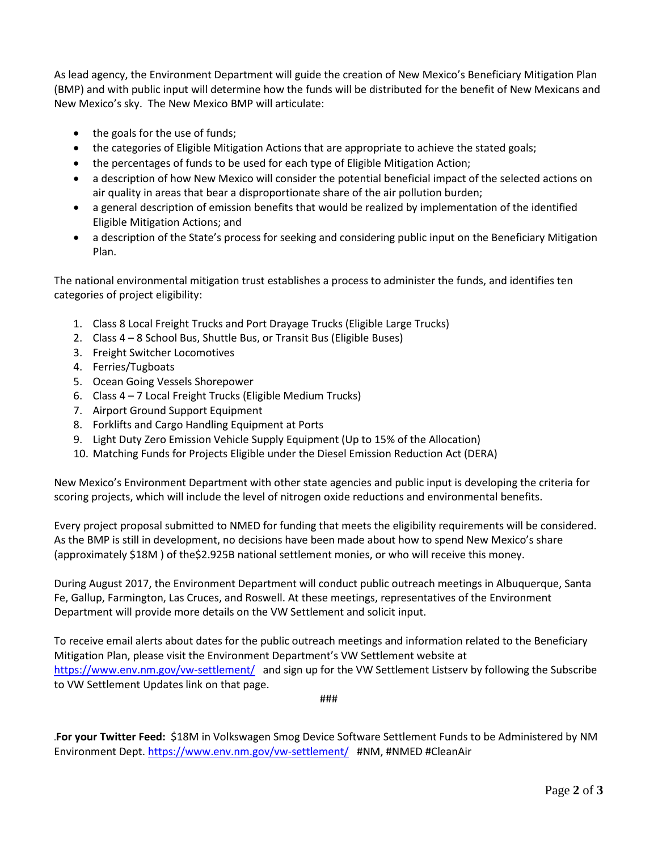As lead agency, the Environment Department will guide the creation of New Mexico's Beneficiary Mitigation Plan (BMP) and with public input will determine how the funds will be distributed for the benefit of New Mexicans and New Mexico's sky. The New Mexico BMP will articulate:

- the goals for the use of funds;
- the categories of Eligible Mitigation Actions that are appropriate to achieve the stated goals;
- the percentages of funds to be used for each type of Eligible Mitigation Action;
- a description of how New Mexico will consider the potential beneficial impact of the selected actions on air quality in areas that bear a disproportionate share of the air pollution burden;
- a general description of emission benefits that would be realized by implementation of the identified Eligible Mitigation Actions; and
- a description of the State's process for seeking and considering public input on the Beneficiary Mitigation Plan.

The national environmental mitigation trust establishes a process to administer the funds, and identifies ten categories of project eligibility:

- 1. Class 8 Local Freight Trucks and Port Drayage Trucks (Eligible Large Trucks)
- 2. Class 4 8 School Bus, Shuttle Bus, or Transit Bus (Eligible Buses)
- 3. Freight Switcher Locomotives
- 4. Ferries/Tugboats
- 5. Ocean Going Vessels Shorepower
- 6. Class 4 7 Local Freight Trucks (Eligible Medium Trucks)
- 7. Airport Ground Support Equipment
- 8. Forklifts and Cargo Handling Equipment at Ports
- 9. Light Duty Zero Emission Vehicle Supply Equipment (Up to 15% of the Allocation)
- 10. Matching Funds for Projects Eligible under the Diesel Emission Reduction Act (DERA)

New Mexico's Environment Department with other state agencies and public input is developing the criteria for scoring projects, which will include the level of nitrogen oxide reductions and environmental benefits.

Every project proposal submitted to NMED for funding that meets the eligibility requirements will be considered. As the BMP is still in development, no decisions have been made about how to spend New Mexico's share (approximately \$18M ) of the\$2.925B national settlement monies, or who will receive this money.

During August 2017, the Environment Department will conduct public outreach meetings in Albuquerque, Santa Fe, Gallup, Farmington, Las Cruces, and Roswell. At these meetings, representatives of the Environment Department will provide more details on the VW Settlement and solicit input.

To receive email alerts about dates for the public outreach meetings and information related to the Beneficiary Mitigation Plan, please visit the Environment Department's VW Settlement website at <https://www.env.nm.gov/vw-settlement/>and sign up for the VW Settlement Listserv by following the Subscribe to VW Settlement Updates link on that page.

###

**.For your Twitter Feed:** \$18M in Volkswagen Smog Device Software Settlement Funds to be Administered by NM Environment Dept[. https://www.env.nm.gov/vw-settlement/](https://www.env.nm.gov/vw-settlement/) #NM, #NMED #CleanAir